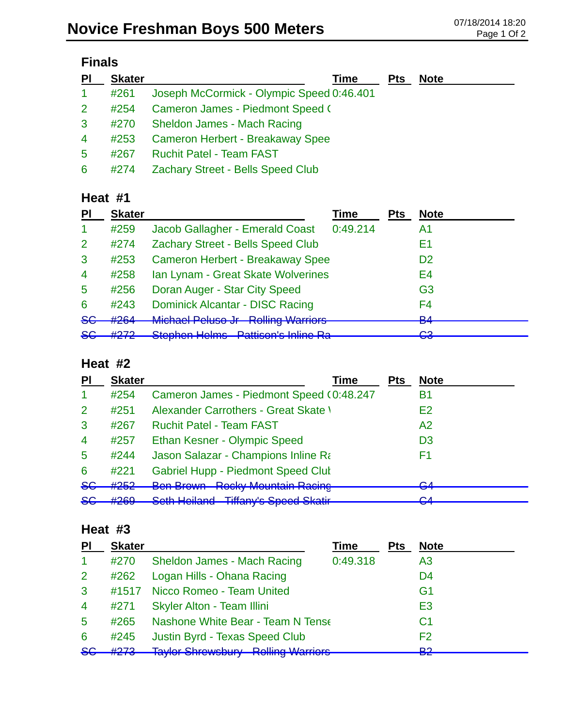| $\overline{P}$ | <b>Skater</b> | Time                                      | <b>Pts</b> | <b>Note</b> |
|----------------|---------------|-------------------------------------------|------------|-------------|
| $\mathbf{1}$   | #261          | Joseph McCormick - Olympic Speed 0:46.401 |            |             |
| 2 <sup>1</sup> | #254          | Cameron James - Piedmont Speed (          |            |             |
| $\mathbf{3}$   | #270          | Sheldon James - Mach Racing               |            |             |
| $\overline{4}$ | #253          | Cameron Herbert - Breakaway Spee          |            |             |
| 5              | #267          | <b>Ruchit Patel - Team FAST</b>           |            |             |
| 6              | #274          | <b>Zachary Street - Bells Speed Club</b>  |            |             |

#### **Heat #1**

| PI                   | <b>Skater</b> |                                                                                              | Time     | Pts | <b>Note</b>    |
|----------------------|---------------|----------------------------------------------------------------------------------------------|----------|-----|----------------|
| $\blacktriangleleft$ | #259          | Jacob Gallagher - Emerald Coast                                                              | 0:49.214 |     | A1             |
| 2                    | #274          | Zachary Street - Bells Speed Club                                                            |          |     | E1             |
| 3                    | #253          | <b>Cameron Herbert - Breakaway Spee</b>                                                      |          |     | D <sub>2</sub> |
| $\overline{4}$       | #258          | Ian Lynam - Great Skate Wolverines                                                           |          |     | E4             |
| 5                    | #256          | Doran Auger - Star City Speed                                                                |          |     | G <sub>3</sub> |
| 6                    | #243          | <b>Dominick Alcantar - DISC Racing</b>                                                       |          |     | F4             |
| 8 <sub>6</sub>       | #264          | Michael Polyce Jr. Polling Warriore<br><u>noming warnors</u><br><u>וט טטטוט דו טומוסט וו</u> |          |     | D A<br>▱       |
| $86$                 | 11 Z T Z      | Ctophon Holme Dotticop's Inline Do<br><u>טוווטו דווטוווקטזט</u>                              |          |     | റാ<br>U⊽       |

### **Heat #2**

| <b>PI</b>      | <b>Skater</b> | Time                                      | Pts | <b>Note</b>         |
|----------------|---------------|-------------------------------------------|-----|---------------------|
| -1             | #254          | Cameron James - Piedmont Speed (0:48.247  |     | B <sub>1</sub>      |
| $\overline{2}$ | #251          | Alexander Carrothers - Great Skate \      |     | E2                  |
| 3              | #267          | <b>Ruchit Patel - Team FAST</b>           |     | A2                  |
| $\overline{4}$ | #257          | Ethan Kesner - Olympic Speed              |     | D3                  |
| 5              | #244          | Jason Salazar - Champions Inline Ra       |     | F1                  |
| 6              | #221          | <b>Gabriel Hupp - Piedmont Speed Clut</b> |     |                     |
| <del>SG</del>  | #252          | <b>Ben Brown Rocky Mountain Racing</b>    |     | ⌒и<br>ॼॸ            |
| <del>SG</del>  | ⊬ാഭവ<br>TZUJ  | Seth Heiland Tiffany's Speed Skatir       |     | $\mathcal{C}$<br>ॼॸ |

### **Heat #3**

| <b>PI</b>      | <b>Skater</b> |                                           | Time     | <b>Pts</b> | <b>Note</b>    |
|----------------|---------------|-------------------------------------------|----------|------------|----------------|
| $\overline{1}$ | #270          | <b>Sheldon James - Mach Racing</b>        | 0:49.318 |            | A <sub>3</sub> |
| 2 <sup>1</sup> | #262          | Logan Hills - Ohana Racing                |          |            | D <sub>4</sub> |
| 3 <sup>1</sup> |               | #1517 Nicco Romeo - Team United           |          |            | G <sub>1</sub> |
| $\overline{4}$ | #271          | <b>Skyler Alton - Team Illini</b>         |          |            | E <sub>3</sub> |
| $\sqrt{5}$     | #265          | <b>Nashone White Bear - Team N Tense</b>  |          |            | C <sub>1</sub> |
| 6              | #245          | Justin Byrd - Texas Speed Club            |          |            | F <sub>2</sub> |
| <b>SG</b>      |               | #273 Taylor Shrewsbury - Rolling Warriors |          |            | בים<br>- 2     |